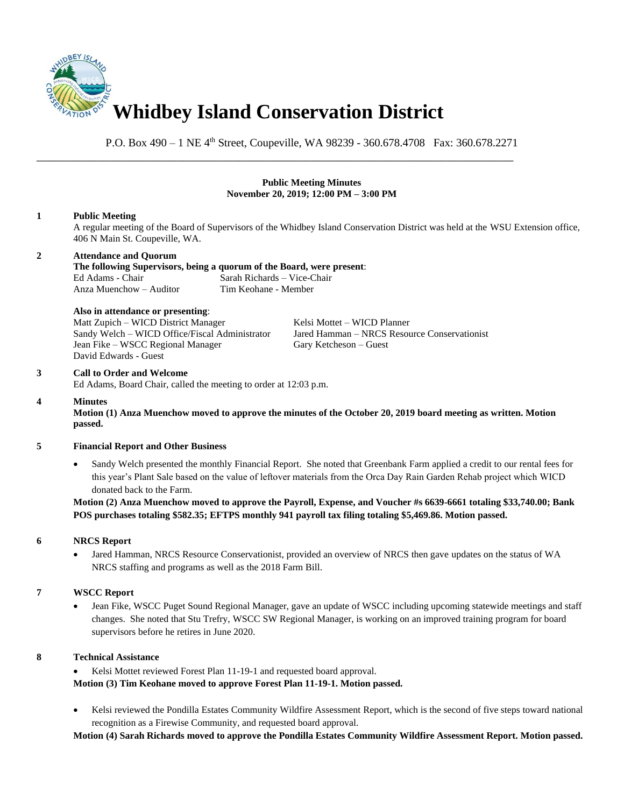

P.O. Box 490 – 1 NE 4th Street, Coupeville, WA 98239 - 360.678.4708 Fax: 360.678.2271

\_\_\_\_\_\_\_\_\_\_\_\_\_\_\_\_\_\_\_\_\_\_\_\_\_\_\_\_\_\_\_\_\_\_\_\_\_\_\_\_\_\_\_\_\_\_\_\_\_\_\_\_\_\_\_\_\_\_\_\_\_\_\_\_\_\_\_\_\_\_\_\_\_\_\_\_\_\_

## **Public Meeting Minutes November 20, 2019; 12:00 PM – 3:00 PM 1 Public Meeting** A regular meeting of the Board of Supervisors of the Whidbey Island Conservation District was held at the WSU Extension office, 406 N Main St. Coupeville, WA. **2 Attendance and Quorum The following Supervisors, being a quorum of the Board, were present**: Ed Adams - Chair Sarah Richards – Vice-Chair Anza Muenchow – Auditor Tim Keohane - Member **Also in attendance or presenting**: Matt Zupich – WICD District Manager Kelsi Mottet – WICD Planner Sandy Welch – WICD Office/Fiscal Administrator Jared Hamman – NRCS Resource Conservationist Jean Fike – WSCC Regional Manager Gary Ketcheson – Guest David Edwards - Guest **3 Call to Order and Welcome** Ed Adams, Board Chair, called the meeting to order at 12:03 p.m. **4 Minutes Motion (1) Anza Muenchow moved to approve the minutes of the October 20, 2019 board meeting as written. Motion passed. 5 Financial Report and Other Business** • Sandy Welch presented the monthly Financial Report. She noted that Greenbank Farm applied a credit to our rental fees for this year's Plant Sale based on the value of leftover materials from the Orca Day Rain Garden Rehab project which WICD donated back to the Farm. **Motion (2) Anza Muenchow moved to approve the Payroll, Expense, and Voucher #s 6639-6661 totaling \$33,740.00; Bank POS purchases totaling \$582.35; EFTPS monthly 941 payroll tax filing totaling \$5,469.86. Motion passed. 6 NRCS Report** • Jared Hamman, NRCS Resource Conservationist, provided an overview of NRCS then gave updates on the status of WA NRCS staffing and programs as well as the 2018 Farm Bill. **7 WSCC Report** • Jean Fike, WSCC Puget Sound Regional Manager, gave an update of WSCC including upcoming statewide meetings and staff changes. She noted that Stu Trefry, WSCC SW Regional Manager, is working on an improved training program for board

**8 Technical Assistance**

supervisors before he retires in June 2020.

Kelsi Mottet reviewed Forest Plan 11-19-1 and requested board approval. **Motion (3) Tim Keohane moved to approve Forest Plan 11-19-1. Motion passed.**

• Kelsi reviewed the Pondilla Estates Community Wildfire Assessment Report, which is the second of five steps toward national recognition as a Firewise Community, and requested board approval.

**Motion (4) Sarah Richards moved to approve the Pondilla Estates Community Wildfire Assessment Report. Motion passed.**